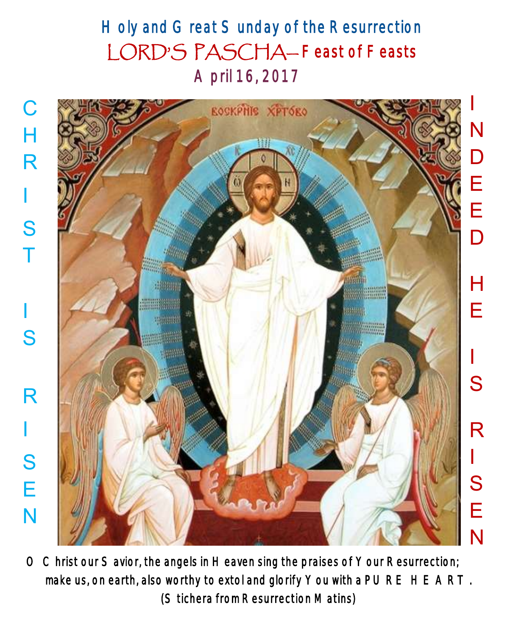# Holy and Great Sunday of the Resurrection LORD'S PASCHA— Feast of Feasts April 16, 2017



O Christ our Savior, the angels in Heaven sing the praises of Your Resurrection; make us, on earth, also worthy to extol and glorify You with a PURE HEART. (Stichera from Resurrection Matins)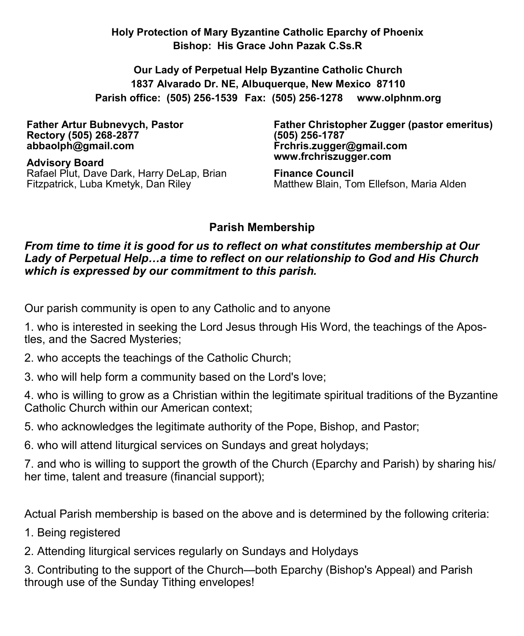**Holy Protection of Mary Byzantine Catholic Eparchy of Phoenix Bishop: His Grace John Pazak C.Ss.R**

**Our Lady of Perpetual Help Byzantine Catholic Church 1837 Alvarado Dr. NE, Albuquerque, New Mexico 87110 Parish office: (505) 256-1539 Fax: (505) 256-1278 www.olphnm.org**

**Father Artur Bubnevych, Pastor Rectory (505) 268-2877 abbaolph@gmail.com** 

**Advisory Board**  Rafael Plut, Dave Dark, Harry DeLap, Brian Fitzpatrick, Luba Kmetyk, Dan Riley

**Father Christopher Zugger (pastor emeritus) (505) 256-1787 Frchris.zugger@gmail.com www.frchriszugger.com** 

**Finance Council**  Matthew Blain, Tom Ellefson, Maria Alden

# **Parish Membership**

#### *From time to time it is good for us to reflect on what constitutes membership at Our Lady of Perpetual Help…a time to reflect on our relationship to God and His Church which is expressed by our commitment to this parish.*

Our parish community is open to any Catholic and to anyone

1. who is interested in seeking the Lord Jesus through His Word, the teachings of the Apostles, and the Sacred Mysteries;

- 2. who accepts the teachings of the Catholic Church;
- 3. who will help form a community based on the Lord's love;

4. who is willing to grow as a Christian within the legitimate spiritual traditions of the Byzantine Catholic Church within our American context;

5. who acknowledges the legitimate authority of the Pope, Bishop, and Pastor;

6. who will attend liturgical services on Sundays and great holydays;

7. and who is willing to support the growth of the Church (Eparchy and Parish) by sharing his/ her time, talent and treasure (financial support);

Actual Parish membership is based on the above and is determined by the following criteria:

- 1. Being registered
- 2. Attending liturgical services regularly on Sundays and Holydays

3. Contributing to the support of the Church—both Eparchy (Bishop's Appeal) and Parish through use of the Sunday Tithing envelopes!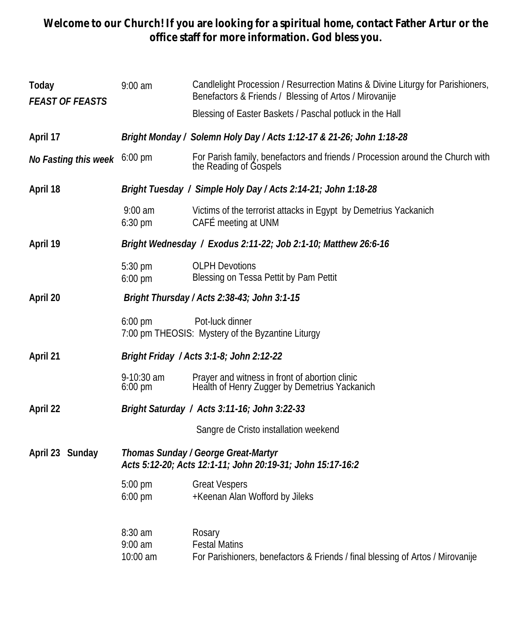### **Welcome to our Church! If you are looking for a spiritual home, contact Father Artur or the office staff for more information. God bless you.**

| Today<br><b>FEAST OF FEASTS</b> | $9:00$ am                                                                                         | Candlelight Procession / Resurrection Matins & Divine Liturgy for Parishioners,<br>Benefactors & Friends / Blessing of Artos / Mirovanije |  |
|---------------------------------|---------------------------------------------------------------------------------------------------|-------------------------------------------------------------------------------------------------------------------------------------------|--|
|                                 |                                                                                                   | Blessing of Easter Baskets / Paschal potluck in the Hall                                                                                  |  |
| April 17                        | Bright Monday / Solemn Holy Day / Acts 1:12-17 & 21-26; John 1:18-28                              |                                                                                                                                           |  |
| No Fasting this week            | $6:00$ pm                                                                                         | For Parish family, benefactors and friends / Procession around the Church with<br>the Reading of Gospels                                  |  |
| April 18                        | Bright Tuesday / Simple Holy Day / Acts 2:14-21; John 1:18-28                                     |                                                                                                                                           |  |
|                                 | $9:00$ am<br>$6:30$ pm                                                                            | Victims of the terrorist attacks in Egypt by Demetrius Yackanich<br>CAFÉ meeting at UNM                                                   |  |
| April 19                        | Bright Wednesday / Exodus 2:11-22; Job 2:1-10; Matthew 26:6-16                                    |                                                                                                                                           |  |
|                                 | 5:30 pm<br>6:00 pm                                                                                | <b>OLPH Devotions</b><br>Blessing on Tessa Pettit by Pam Pettit                                                                           |  |
| April 20                        | Bright Thursday / Acts 2:38-43; John 3:1-15                                                       |                                                                                                                                           |  |
|                                 | $6:00 \text{ pm}$                                                                                 | Pot-luck dinner<br>7:00 pm THEOSIS: Mystery of the Byzantine Liturgy                                                                      |  |
| April 21                        | Bright Friday / Acts 3:1-8; John 2:12-22                                                          |                                                                                                                                           |  |
|                                 | 9-10:30 am<br>$6:00 \text{ pm}$                                                                   | Prayer and witness in front of abortion clinic<br>Health of Henry Zugger by Demetrius Yackanich                                           |  |
| April 22                        | Bright Saturday / Acts 3:11-16; John 3:22-33                                                      |                                                                                                                                           |  |
|                                 |                                                                                                   | Sangre de Cristo installation weekend                                                                                                     |  |
| April 23 Sunday                 | Thomas Sunday / George Great-Martyr<br>Acts 5:12-20; Acts 12:1-11; John 20:19-31; John 15:17-16:2 |                                                                                                                                           |  |
|                                 | $5:00$ pm<br>$6:00$ pm                                                                            | <b>Great Vespers</b><br>+Keenan Alan Wofford by Jileks                                                                                    |  |
|                                 | 8:30 am<br>$9:00$ am<br>10:00 am                                                                  | Rosary<br><b>Festal Matins</b><br>For Parishioners, benefactors & Friends / final blessing of Artos / Mirovanije                          |  |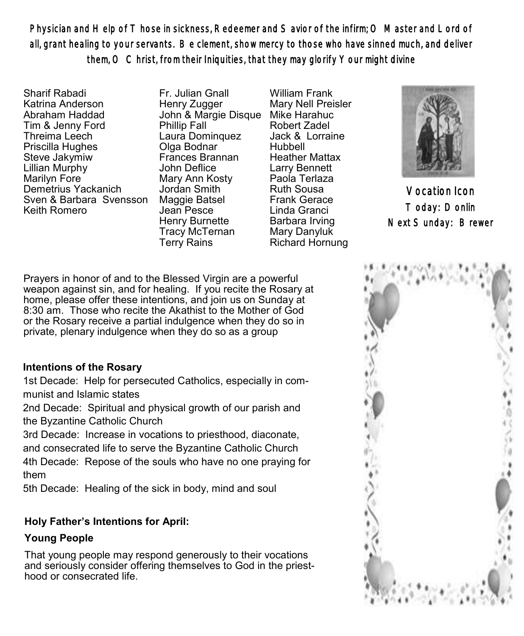Physician and Help of Those in sickness, Redeemer and Savior of the infirm; O Master and Lord of all, grant healing to your servants. Be clement, show mercy to those who have sinned much, and deliver them, O Christ, from their Iniquities, that they may glorify Your might divine

Sharif Rabadi Katrina Anderson Abraham Haddad Tim & Jenny Ford Threima Leech Priscilla Hughes Steve Jakymiw Lillian Murphy Marilyn Fore Demetrius Yackanich Sven & Barbara Svensson Keith Romero

Fr. Julian Gnall Henry Zugger John & Margie Disque Mike Harahuc Phillip Fall Laura Dominquez Olga Bodnar Frances Brannan John Deflice Mary Ann Kosty Jordan Smith Maggie Batsel Jean Pesce Henry Burnette Tracy McTernan Terry Rains

William Frank Mary Nell Preisler Robert Zadel Jack & Lorraine Hubbell Heather Mattax Larry Bennett Paola Terlaza Ruth Sousa Frank Gerace Linda Granci Barbara Irving Mary Danyluk Richard Hornung



Vocation Icon Today: Donlin Next Sunday: Brewer

Prayers in honor of and to the Blessed Virgin are a powerful weapon against sin, and for healing. If you recite the Rosary at home, please offer these intentions, and join us on Sunday at 8:30 am. Those who recite the Akathist to the Mother of God or the Rosary receive a partial indulgence when they do so in private, plenary indulgence when they do so as a group

#### **Intentions of the Rosary**

1st Decade: Help for persecuted Catholics, especially in communist and Islamic states

2nd Decade: Spiritual and physical growth of our parish and the Byzantine Catholic Church

3rd Decade: Increase in vocations to priesthood, diaconate,

and consecrated life to serve the Byzantine Catholic Church 4th Decade: Repose of the souls who have no one praying for them

5th Decade: Healing of the sick in body, mind and soul

### **Holy Father's Intentions for April:**

# **Young People**

That young people may respond generously to their vocations and seriously consider offering themselves to God in the priesthood or consecrated life.

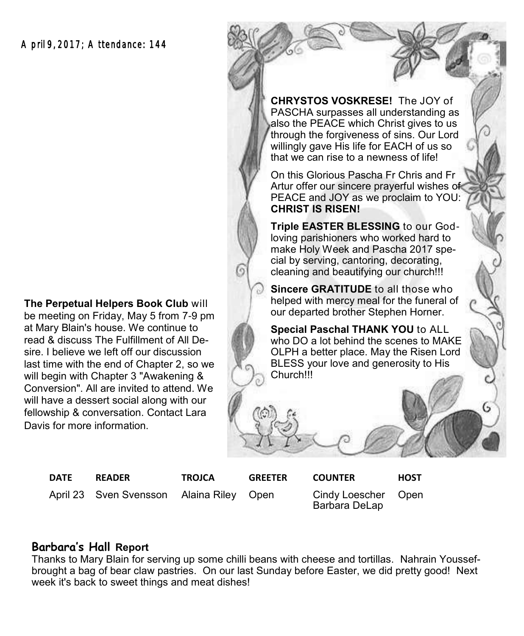**The Perpetual Helpers Book Club** will be meeting on Friday, May 5 from 7-9 pm at Mary Blain's house. We continue to read & discuss The Fulfillment of All Desire. I believe we left off our discussion last time with the end of Chapter 2, so we will begin with Chapter 3 "Awakening & Conversion". All are invited to attend. We will have a dessert social along with our fellowship & conversation. Contact Lara Davis for more information.

**CHRYSTOS VOSKRESE!** The JOY of PASCHA surpasses all understanding as also the PEACE which Christ gives to us through the forgiveness of sins. Our Lord willingly gave His life for EACH of us so that we can rise to a newness of life!

On this Glorious Pascha Fr Chris and Fr Artur offer our sincere prayerful wishes of PEACE and JOY as we proclaim to YOU: **CHRIST IS RISEN!** 

**Triple EASTER BLESSING** to our Godloving parishioners who worked hard to make Holy Week and Pascha 2017 special by serving, cantoring, decorating, cleaning and beautifying our church!!!

**Sincere GRATITUDE** to all those who helped with mercy meal for the funeral of our departed brother Stephen Horner.

**Special Paschal THANK YOU** to ALL who DO a lot behind the scenes to MAKE OLPH a better place. May the Risen Lord BLESS your love and generosity to His Church!!!

April 23 Sven Svensson Alaina Riley Open Cindy Loescher

**DATE READER TROJCA GREETER COUNTER HOST**

**Open** 

Barbara DeLap

#### **Barbara's Hall Report**

Thanks to Mary Blain for serving up some chilli beans with cheese and tortillas. Nahrain Youssefbrought a bag of bear claw pastries. On our last Sunday before Easter, we did pretty good! Next week it's back to sweet things and meat dishes!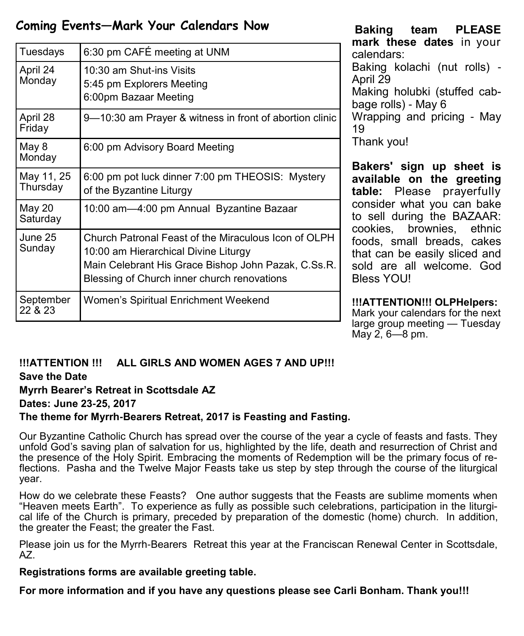# **Coming Events—Mark Your Calendars Now**

| Tuesdays               | 6:30 pm CAFÉ meeting at UNM                                                                                                                                                                        |  |
|------------------------|----------------------------------------------------------------------------------------------------------------------------------------------------------------------------------------------------|--|
| April 24<br>Monday     | 10:30 am Shut-ins Visits<br>5:45 pm Explorers Meeting<br>6:00pm Bazaar Meeting                                                                                                                     |  |
| April 28<br>Friday     | 9-10:30 am Prayer & witness in front of abortion clinic                                                                                                                                            |  |
| May 8<br>Monday        | 6:00 pm Advisory Board Meeting                                                                                                                                                                     |  |
| May 11, 25<br>Thursday | 6:00 pm pot luck dinner 7:00 pm THEOSIS: Mystery<br>of the Byzantine Liturgy                                                                                                                       |  |
| May 20<br>Saturday     | 10:00 am-4:00 pm Annual Byzantine Bazaar                                                                                                                                                           |  |
| June 25<br>Sunday      | Church Patronal Feast of the Miraculous Icon of OLPH<br>10:00 am Hierarchical Divine Liturgy<br>Main Celebrant His Grace Bishop John Pazak, C.Ss.R.<br>Blessing of Church inner church renovations |  |
| September<br>22 & 23   | Women's Spiritual Enrichment Weekend                                                                                                                                                               |  |

**Baking team PLEASE mark these dates** in your calendars: Baking kolachi (nut rolls) - April 29 Making holubki (stuffed cabbage rolls) - May 6 Wrapping and pricing - May 19 Thank you!

**Bakers' sign up sheet is available on the greeting table:** Please prayerfully consider what you can bake to sell during the BAZAAR: cookies, brownies, ethnic foods, small breads, cakes that can be easily sliced and sold are all welcome. God **Bless YOU!** 

**!!!ATTENTION!!! OLPHelpers:**  Mark your calendars for the next large group meeting — Tuesday  $M$ ay 2, 6—8 pm.

### **!!!ATTENTION !!! ALL GIRLS AND WOMEN AGES 7 AND UP!!!**

**Save the Date** 

**Myrrh Bearer's Retreat in Scottsdale AZ** 

**Dates: June 23-25, 2017** 

#### **The theme for Myrrh-Bearers Retreat, 2017 is Feasting and Fasting.**

Our Byzantine Catholic Church has spread over the course of the year a cycle of feasts and fasts. They unfold God's saving plan of salvation for us, highlighted by the life, death and resurrection of Christ and the presence of the Holy Spirit. Embracing the moments of Redemption will be the primary focus of reflections. Pasha and the Twelve Major Feasts take us step by step through the course of the liturgical year.

How do we celebrate these Feasts? One author suggests that the Feasts are sublime moments when "Heaven meets Earth". To experience as fully as possible such celebrations, participation in the liturgical life of the Church is primary, preceded by preparation of the domestic (home) church. In addition, the greater the Feast; the greater the Fast.

Please join us for the Myrrh-Bearers Retreat this year at the Franciscan Renewal Center in Scottsdale, AZ.

**Registrations forms are available greeting table.**

**For more information and if you have any questions please see Carli Bonham. Thank you!!!**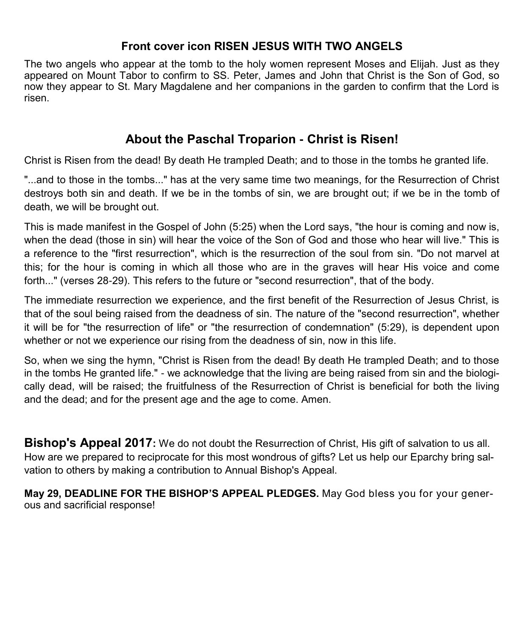#### **Front cover icon RISEN JESUS WITH TWO ANGELS**

The two angels who appear at the tomb to the holy women represent Moses and Elijah. Just as they appeared on Mount Tabor to confirm to SS. Peter, James and John that Christ is the Son of God, so now they appear to St. Mary Magdalene and her companions in the garden to confirm that the Lord is risen.

# **About the Paschal Troparion - Christ is Risen!**

Christ is Risen from the dead! By death He trampled Death; and to those in the tombs he granted life.

"...and to those in the tombs..." has at the very same time two meanings, for the Resurrection of Christ destroys both sin and death. If we be in the tombs of sin, we are brought out; if we be in the tomb of death, we will be brought out.

This is made manifest in the Gospel of John (5:25) when the Lord says, "the hour is coming and now is, when the dead (those in sin) will hear the voice of the Son of God and those who hear will live." This is a reference to the "first resurrection", which is the resurrection of the soul from sin. "Do not marvel at this; for the hour is coming in which all those who are in the graves will hear His voice and come forth..." (verses 28-29). This refers to the future or "second resurrection", that of the body.

The immediate resurrection we experience, and the first benefit of the Resurrection of Jesus Christ, is that of the soul being raised from the deadness of sin. The nature of the "second resurrection", whether it will be for "the resurrection of life" or "the resurrection of condemnation" (5:29), is dependent upon whether or not we experience our rising from the deadness of sin, now in this life.

So, when we sing the hymn, "Christ is Risen from the dead! By death He trampled Death; and to those in the tombs He granted life." - we acknowledge that the living are being raised from sin and the biologically dead, will be raised; the fruitfulness of the Resurrection of Christ is beneficial for both the living and the dead; and for the present age and the age to come. Amen.

**Bishop's Appeal 2017:** We do not doubt the Resurrection of Christ, His gift of salvation to us all. How are we prepared to reciprocate for this most wondrous of gifts? Let us help our Eparchy bring salvation to others by making a contribution to Annual Bishop's Appeal.

**May 29, DEADLINE FOR THE BISHOP'S APPEAL PLEDGES.** May God bless you for your generous and sacrificial response!